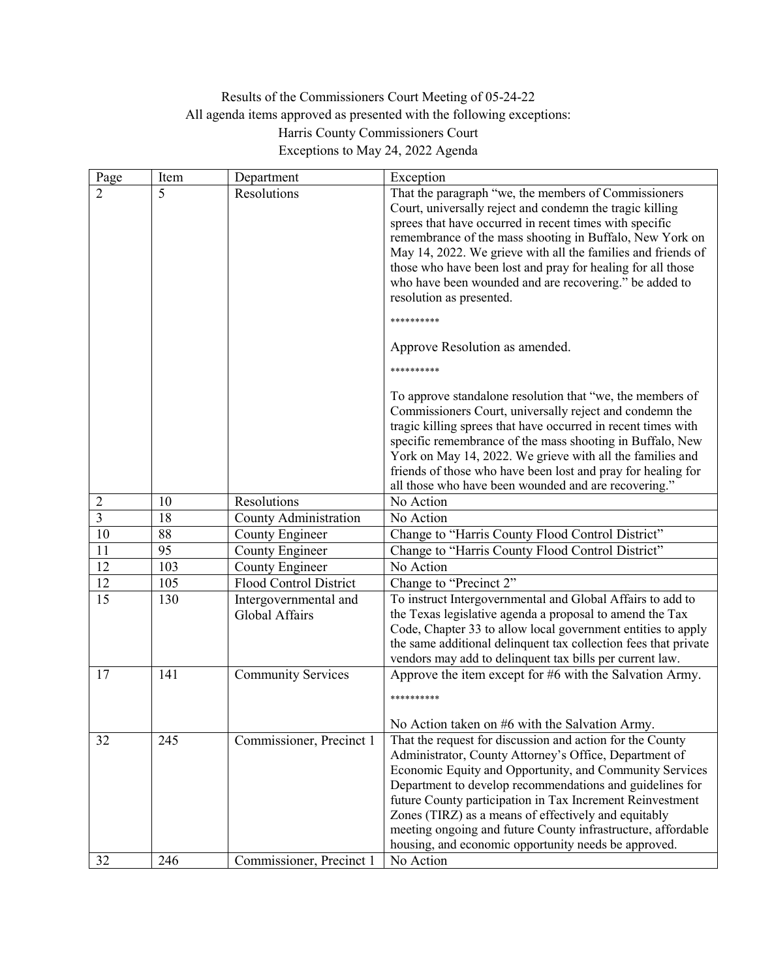## Results of the Commissioners Court Meeting of 05-24-22 All agenda items approved as presented with the following exceptions: Harris County Commissioners Court Exceptions to May 24, 2022 Agenda

| Page           | Item | Department                              | Exception                                                                                                                                                                                                                                                                                                                                                                                                                                                                                                                                                                                                                                                                                                                                                                                                                                     |
|----------------|------|-----------------------------------------|-----------------------------------------------------------------------------------------------------------------------------------------------------------------------------------------------------------------------------------------------------------------------------------------------------------------------------------------------------------------------------------------------------------------------------------------------------------------------------------------------------------------------------------------------------------------------------------------------------------------------------------------------------------------------------------------------------------------------------------------------------------------------------------------------------------------------------------------------|
| $\overline{2}$ | 5    | Resolutions                             | That the paragraph "we, the members of Commissioners<br>Court, universally reject and condemn the tragic killing<br>sprees that have occurred in recent times with specific<br>remembrance of the mass shooting in Buffalo, New York on<br>May 14, 2022. We grieve with all the families and friends of<br>those who have been lost and pray for healing for all those<br>who have been wounded and are recovering." be added to<br>resolution as presented.<br>**********<br>Approve Resolution as amended.<br>**********<br>To approve standalone resolution that "we, the members of<br>Commissioners Court, universally reject and condemn the<br>tragic killing sprees that have occurred in recent times with<br>specific remembrance of the mass shooting in Buffalo, New<br>York on May 14, 2022. We grieve with all the families and |
|                |      |                                         | friends of those who have been lost and pray for healing for                                                                                                                                                                                                                                                                                                                                                                                                                                                                                                                                                                                                                                                                                                                                                                                  |
| $\overline{2}$ | 10   | Resolutions                             | all those who have been wounded and are recovering."<br>No Action                                                                                                                                                                                                                                                                                                                                                                                                                                                                                                                                                                                                                                                                                                                                                                             |
| $\overline{3}$ | 18   | County Administration                   | No Action                                                                                                                                                                                                                                                                                                                                                                                                                                                                                                                                                                                                                                                                                                                                                                                                                                     |
| $10\,$         | 88   | County Engineer                         | Change to "Harris County Flood Control District"                                                                                                                                                                                                                                                                                                                                                                                                                                                                                                                                                                                                                                                                                                                                                                                              |
| 11             | 95   | County Engineer                         | Change to "Harris County Flood Control District"                                                                                                                                                                                                                                                                                                                                                                                                                                                                                                                                                                                                                                                                                                                                                                                              |
| 12             | 103  | County Engineer                         | No Action                                                                                                                                                                                                                                                                                                                                                                                                                                                                                                                                                                                                                                                                                                                                                                                                                                     |
| 12             | 105  | Flood Control District                  | Change to "Precinct 2"                                                                                                                                                                                                                                                                                                                                                                                                                                                                                                                                                                                                                                                                                                                                                                                                                        |
| 15             |      |                                         |                                                                                                                                                                                                                                                                                                                                                                                                                                                                                                                                                                                                                                                                                                                                                                                                                                               |
|                | 130  | Intergovernmental and<br>Global Affairs | To instruct Intergovernmental and Global Affairs to add to<br>the Texas legislative agenda a proposal to amend the Tax<br>Code, Chapter 33 to allow local government entities to apply<br>the same additional delinquent tax collection fees that private<br>vendors may add to delinquent tax bills per current law.                                                                                                                                                                                                                                                                                                                                                                                                                                                                                                                         |
| 17             | 141  | <b>Community Services</b>               | Approve the item except for #6 with the Salvation Army.<br>**********<br>No Action taken on #6 with the Salvation Army.                                                                                                                                                                                                                                                                                                                                                                                                                                                                                                                                                                                                                                                                                                                       |
| 32             | 245  | Commissioner, Precinct 1                | That the request for discussion and action for the County<br>Administrator, County Attorney's Office, Department of<br>Economic Equity and Opportunity, and Community Services<br>Department to develop recommendations and guidelines for<br>future County participation in Tax Increment Reinvestment<br>Zones (TIRZ) as a means of effectively and equitably<br>meeting ongoing and future County infrastructure, affordable<br>housing, and economic opportunity needs be approved.                                                                                                                                                                                                                                                                                                                                                       |
| 32             | 246  | Commissioner, Precinct 1                | No Action                                                                                                                                                                                                                                                                                                                                                                                                                                                                                                                                                                                                                                                                                                                                                                                                                                     |